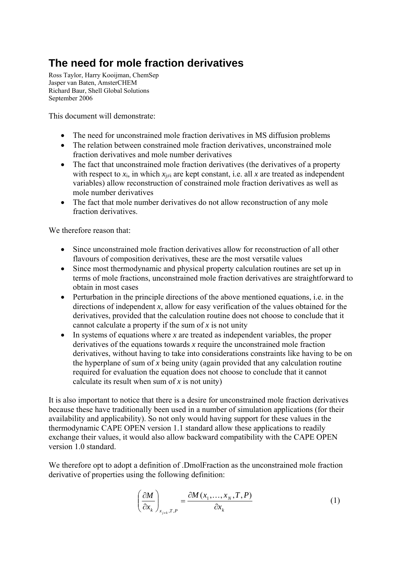# **The need for mole fraction derivatives**

Ross Taylor, Harry Kooijman, ChemSep Jasper van Baten, AmsterCHEM Richard Baur, Shell Global Solutions September 2006

This document will demonstrate:

- The need for unconstrained mole fraction derivatives in MS diffusion problems
- The relation between constrained mole fraction derivatives, unconstrained mole fraction derivatives and mole number derivatives
- The fact that unconstrained mole fraction derivatives (the derivatives of a property with respect to  $x_i$ , in which  $x_{i\neq i}$  are kept constant, i.e. all x are treated as independent variables) allow reconstruction of constrained mole fraction derivatives as well as mole number derivatives
- The fact that mole number derivatives do not allow reconstruction of any mole fraction derivatives.

We therefore reason that:

- Since unconstrained mole fraction derivatives allow for reconstruction of all other flavours of composition derivatives, these are the most versatile values
- Since most thermodynamic and physical property calculation routines are set up in terms of mole fractions, unconstrained mole fraction derivatives are straightforward to obtain in most cases
- Perturbation in the principle directions of the above mentioned equations, i.e. in the directions of independent *x*, allow for easy verification of the values obtained for the derivatives, provided that the calculation routine does not choose to conclude that it cannot calculate a property if the sum of *x* is not unity
- In systems of equations where *x* are treated as independent variables, the proper derivatives of the equations towards *x* require the unconstrained mole fraction derivatives, without having to take into considerations constraints like having to be on the hyperplane of sum of *x* being unity (again provided that any calculation routine required for evaluation the equation does not choose to conclude that it cannot calculate its result when sum of  $x$  is not unity)

It is also important to notice that there is a desire for unconstrained mole fraction derivatives because these have traditionally been used in a number of simulation applications (for their availability and applicability). So not only would having support for these values in the thermodynamic CAPE OPEN version 1.1 standard allow these applications to readily exchange their values, it would also allow backward compatibility with the CAPE OPEN version 1.0 standard.

We therefore opt to adopt a definition of .DmolFraction as the unconstrained mole fraction derivative of properties using the following definition:

$$
\left(\frac{\partial M}{\partial x_k}\right)_{x_{j\neq k},T,P} = \frac{\partial M(x_1,\ldots,x_N,T,P)}{\partial x_k}
$$
 (1)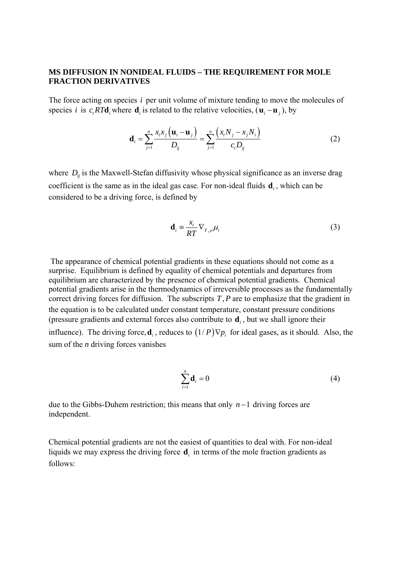### **MS DIFFUSION IN NONIDEAL FLUIDS – THE REQUIREMENT FOR MOLE FRACTION DERIVATIVES**

The force acting on species *i* per unit volume of mixture tending to move the molecules of species *i* is *c*, *RT***d**, where **d**<sub>*i*</sub> is related to the relative velocities,  $(\mathbf{u}_i - \mathbf{u}_i)$ , by

$$
\mathbf{d}_{i} = \sum_{j=1}^{n} \frac{x_{i} x_{j} (\mathbf{u}_{i} - \mathbf{u}_{j})}{D_{ij}} = \sum_{j=1}^{n} \frac{(x_{i} N_{j} - x_{j} N_{i})}{c_{i} D_{ij}}
$$
(2)

where  $D_{ii}$  is the Maxwell-Stefan diffusivity whose physical significance as an inverse drag coefficient is the same as in the ideal gas case. For non-ideal fluids  $\mathbf{d}_i$ , which can be considered to be a driving force, is defined by

$$
\mathbf{d}_{i} = \frac{x_{i}}{RT} \nabla_{T,\rho} \mu_{i}
$$
 (3)

 The appearance of chemical potential gradients in these equations should not come as a surprise. Equilibrium is defined by equality of chemical potentials and departures from equilibrium are characterized by the presence of chemical potential gradients. Chemical potential gradients arise in the thermodynamics of irreversible processes as the fundamentally correct driving forces for diffusion. The subscripts  $T$ ,  $P$  are to emphasize that the gradient in the equation is to be calculated under constant temperature, constant pressure conditions (pressure gradients and external forces also contribute to **d***<sup>i</sup>* , but we shall ignore their influence). The driving force,  $\mathbf{d}_i$ , reduces to  $(1/P)\nabla p_i$  for ideal gases, as it should. Also, the sum of the *n* driving forces vanishes

$$
\sum_{i=1}^{n} \mathbf{d}_i = 0 \tag{4}
$$

due to the Gibbs-Duhem restriction; this means that only  $n-1$  driving forces are independent.

Chemical potential gradients are not the easiest of quantities to deal with. For non-ideal liquids we may express the driving force **d***i* in terms of the mole fraction gradients as follows: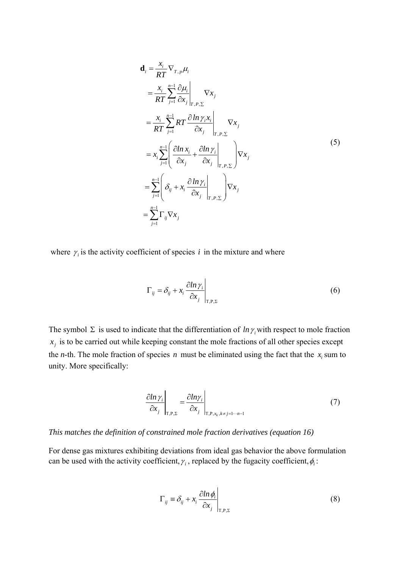$$
\mathbf{d}_{i} = \frac{x_{i}}{RT} \nabla_{T, p} \mu_{i}
$$
\n
$$
= \frac{x_{i}}{RT} \sum_{j=1}^{n-1} \frac{\partial \mu_{i}}{\partial x_{j}} \bigg|_{T, P, \Sigma} \nabla x_{j}
$$
\n
$$
= \frac{x_{i}}{RT} \sum_{j=1}^{n-1} RT \frac{\partial \ln \gamma_{i} x_{i}}{\partial x_{j}} \bigg|_{T, P, \Sigma} \nabla x_{j}
$$
\n
$$
= x_{i} \sum_{j=1}^{n-1} \left( \frac{\partial \ln x_{i}}{\partial x_{j}} + \frac{\partial \ln \gamma_{i}}{\partial x_{j}} \bigg|_{T, P, \Sigma} \right) \nabla x_{j}
$$
\n
$$
= \sum_{j=1}^{n-1} \left( \delta_{ij} + x_{i} \frac{\partial \ln \gamma_{i}}{\partial x_{j}} \bigg|_{T, P, \Sigma} \right) \nabla x_{j}
$$
\n
$$
= \sum_{j=1}^{n-1} \Gamma_{ij} \nabla x_{j}
$$
\n(5)

where  $\gamma$  is the activity coefficient of species *i* in the mixture and where

$$
\Gamma_{ij} = \delta_{ij} + x_i \left. \frac{\partial \ln \gamma_i}{\partial x_j} \right|_{\mathsf{T}, \mathsf{P}, \Sigma} \tag{6}
$$

The symbol  $\Sigma$  is used to indicate that the differentiation of *ln*  $\gamma$ <sub>*i*</sub> with respect to mole fraction  $x_i$  is to be carried out while keeping constant the mole fractions of all other species except the *n*-th. The mole fraction of species *n* must be eliminated using the fact that the  $x_i$  sum to unity. More specifically:

$$
\left. \frac{\partial \ln \gamma_i}{\partial x_j} \right|_{\mathcal{T}, \mathcal{P}, \Sigma} = \left. \frac{\partial \ln \gamma_i}{\partial x_j} \right|_{\mathcal{T}, \mathcal{P}, x_k, k \neq j = 1 \cdots n-1}
$$
\n(7)

*This matches the definition of constrained mole fraction derivatives (equation 16)* 

For dense gas mixtures exhibiting deviations from ideal gas behavior the above formulation can be used with the activity coefficient,  $\gamma$ , replaced by the fugacity coefficient,  $\phi$ .

$$
\Gamma_{ij} \equiv \delta_{ij} + x_i \frac{\partial \ln \phi_i}{\partial x_j} \bigg|_{\text{T,P},\Sigma} \tag{8}
$$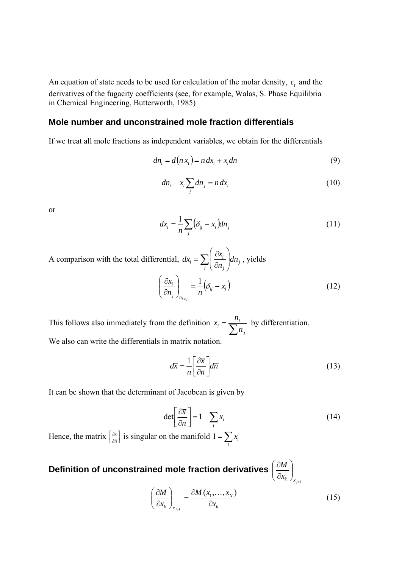An equation of state needs to be used for calculation of the molar density,  $c_t$  and the derivatives of the fugacity coefficients (see, for example, Walas, S. Phase Equilibria in Chemical Engineering, Butterworth, 1985)

# **Mole number and unconstrained mole fraction differentials**

If we treat all mole fractions as independent variables, we obtain for the differentials

$$
dn_i = d(n x_i) = n dx_i + x_i dn \tag{9}
$$

$$
dn_i - x_i \sum_j dn_j = n dx_i \tag{10}
$$

or

$$
dx_i = \frac{1}{n} \sum_j (\delta_{ij} - x_i) dn_j \tag{11}
$$

A comparison with the total differential,  $dx_i = \sum_i \left| \frac{\partial x_i}{\partial n} \right|$  $\bigg)$  $\setminus$  $\mathsf{I}$  $\mathsf{I}$  $\setminus$ ſ  $\partial$  $=\sum \left(\frac{\partial}{\partial x}\right)^2$ *j j j*  $\sum_i = \sum_i \left( \frac{\alpha x_i}{\partial n_i} \right)$ dn  $dx_i = \sum \frac{\partial x_i}{\partial x_i} du_i$ , yields  $\left(\delta_{ij} - x_i\right)$ *<sup>n</sup> <sup>j</sup>*  $\left| \begin{array}{c} \frac{i}{r} \end{array} \right| = -\left| \delta_{ii} - x \right|$  $n_i$  *n*  $\left(\frac{x_i}{n}\right)^2 = \frac{1}{n} \left(\delta_{ij} - \frac{1}{n}\right)$ J  $\setminus$  $\overline{\phantom{a}}$  $\mathsf{I}$  $\setminus$ ſ  $\partial$  $\left(\frac{\partial x_i}{\partial x_j}\right) = \frac{1}{\delta_{ij} - x_i}$  (12)

*k j*

 $\neq$ 

This follows also immediately from the definition  $x_i = \frac{R}{\sum_{i=1}^{n} R_i}$ *j*  $\dot{a}_i = \frac{n_i}{\sum n_i}$  $x_i = \frac{n_i}{\sum}$  by differentiation. We also can write the differentials in matrix notation.

$$
d\overline{x} = \frac{1}{n} \left[ \frac{\partial \overline{x}}{\partial \overline{n}} \right] d\overline{n}
$$
 (13)

It can be shown that the determinant of Jacobean is given by

$$
\det \left[ \frac{\partial \overline{x}}{\partial \overline{n}} \right] = 1 - \sum_{i} x_i
$$
 (14)

Hence, the matrix  $\left[\frac{\partial \bar{x}}{\partial \bar{n}}\right]$  $\partial$  $\hat{c}$  $\left[\frac{\overline{x}}{\overline{n}}\right]$  is singular on the manifold  $1 = \sum_{i}$  $1 = \sum x_i$ 

### **Definition of unconstrained mole fraction derivatives**   $\left(x_k\right)$ <sub> $x_{k\neq k}$ </sub> *M*  $\overline{\phantom{a}}$ J  $\setminus$  $\overline{\phantom{a}}$  $\overline{\mathcal{L}}$ ſ  $\hat{c}$  $\hat{o}$

$$
\left(\frac{\partial M}{\partial x_k}\right)_{x_{j\neq k}} = \frac{\partial M(x_1, \dots, x_N)}{\partial x_k}
$$
\n(15)

¥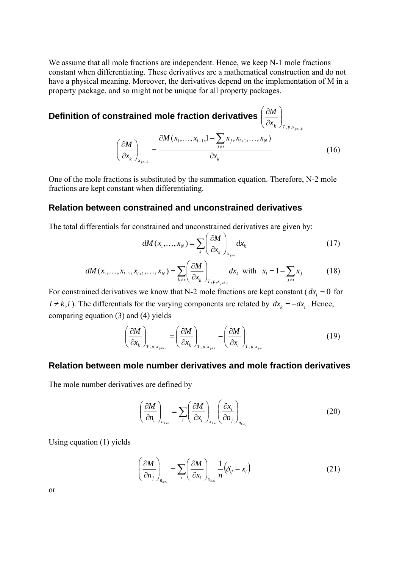We assume that all mole fractions are independent. Hence, we keep N-1 mole fractions constant when differentiating. These derivatives are a mathematical construction and do not have a physical meaning. Moreover, the derivatives depend on the implementation of M in a property package, and so might not be unique for all property packages.

**Definition of constrained mole fraction derivatives** 
$$
\left(\frac{\partial M}{\partial x_k}\right)_{T, p, x_{j\neq i,k}}
$$
  

$$
\left(\frac{\partial M}{\partial x_k}\right)_{x_{j\neq i,k}} = \frac{\partial M(x_1, \dots, x_{i-1}, 1 - \sum_{j\neq i} x_j, x_{i+1}, \dots, x_N)}{\partial x_k}
$$
(16)

One of the mole fractions is substituted by the summation equation. Therefore, N-2 mole fractions are kept constant when differentiating.

# **Relation between constrained and unconstrained derivatives**

The total differentials for constrained and unconstrained derivatives are given by:

$$
dM(x_1,...,x_N) = \sum_{k} \left(\frac{\partial M}{\partial x_k}\right)_{x_{j\neq k}} dx_k
$$
 (17)

$$
dM(x_1,...,x_{i-1},x_{i+1},...,x_N) = \sum_{k\neq i} \left(\frac{\partial M}{\partial x_k}\right)_{T, p, x_{j\neq k,i}} dx_k \text{ with } x_i = 1 - \sum_{j\neq i} x_j
$$
 (18)

For constrained derivatives we know that N-2 mole fractions are kept constant ( $dx_i = 0$  for  $l \neq k, i$ ). The differentials for the varying components are related by  $dx_k = -dx_i$ . Hence, comparing equation (3) and (4) yields

$$
\left(\frac{\partial M}{\partial x_k}\right)_{T, p, x_{j \neq k,i}} = \left(\frac{\partial M}{\partial x_k}\right)_{T, p, x_{j \neq k}} - \left(\frac{\partial M}{\partial x_i}\right)_{T, p, x_{j \neq i}}
$$
(19)

# **Relation between mole number derivatives and mole fraction derivatives**

The mole number derivatives are defined by

$$
\left(\frac{\partial M}{\partial n_i}\right)_{n_{k\neq i}} = \sum_i \left(\frac{\partial M}{\partial x_i}\right)_{x_{k\neq i}} \left(\frac{\partial x_i}{\partial n_j}\right)_{n_{k\neq j}}
$$
(20)

Using equation (1) yields

$$
\left(\frac{\partial M}{\partial n_j}\right)_{n_{k\neq i}} = \sum_i \left(\frac{\partial M}{\partial x_i}\right)_{x_{k\neq i}} \frac{1}{n} \left(\delta_{ij} - x_i\right)
$$
\n(21)

or